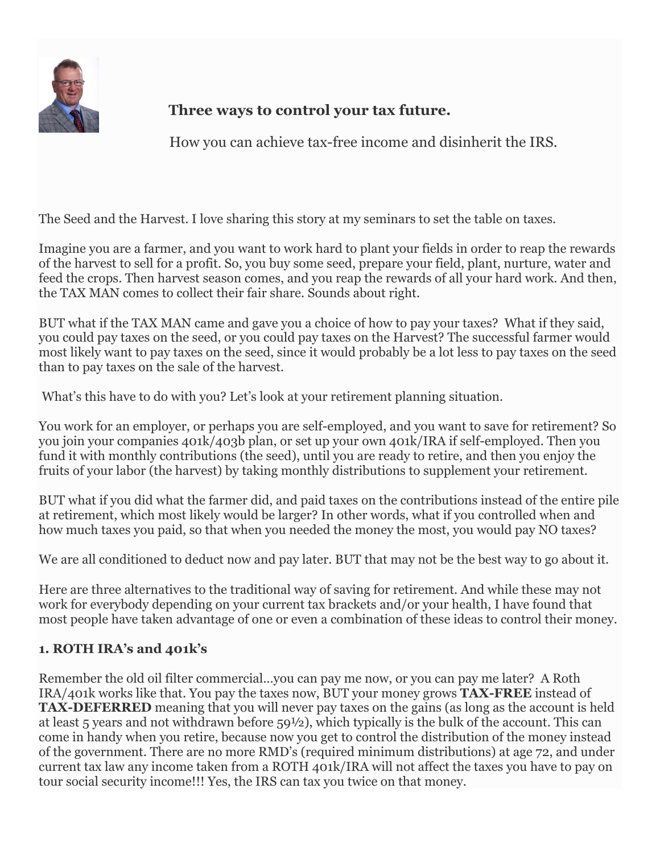

# **Three ways to control your tax future.**

How you can achieve tax-free income and disinherit the IRS.

The Seed and the Harvest. I love sharing this story at my seminars to set the table on taxes.

Imagine you are a farmer, and you want to work hard to plant your fields in order to reap the rewards of the harvest to sell for a profit. So, you buy some seed, prepare your field, plant, nurture, water and feed the crops. Then harvest season comes, and you reap the rewards of all your hard work. And then, the TAX MAN comes to collect their fair share. Sounds about right.

BUT what if the TAX MAN came and gave you a choice of how to pay your taxes? What if they said, you could pay taxes on the seed, or you could pay taxes on the Harvest? The successful farmer would most likely want to pay taxes on the seed, since it would probably be a lot less to pay taxes on the seed than to pay taxes on the sale of the harvest.

What's this have to do with you? Let's look at your retirement planning situation.

You work for an employer, or perhaps you are self-employed, and you want to save for retirement? So you join your companies 401k/403b plan, or set up your own 401k/IRA if self-employed. Then you fund it with monthly contributions (the seed), until you are ready to retire, and then you enjoy the fruits of your labor (the harvest) by taking monthly distributions to supplement your retirement.

BUT what if you did what the farmer did, and paid taxes on the contributions instead of the entire pile at retirement, which most likely would be larger? In other words, what if you controlled when and how much taxes you paid, so that when you needed the money the most, you would pay NO taxes?

We are all conditioned to deduct now and pay later. BUT that may not be the best way to go about it.

Here are three alternatives to the traditional way of saving for retirement. And while these may not work for everybody depending on your current tax brackets and/or your health, I have found that most people have taken advantage of one or even a combination of these ideas to control their money.

## **1. ROTH IRA's and 401k's**

Remember the old oil filter commercial…you can pay me now, or you can pay me later? A Roth IRA/401k works like that. You pay the taxes now, BUT your money grows **TAX-FREE** instead of **TAX-DEFERRED** meaning that you will never pay taxes on the gains (as long as the account is held at least 5 years and not withdrawn before 59½), which typically is the bulk of the account. This can come in handy when you retire, because now you get to control the distribution of the money instead of the government. There are no more RMD's (required minimum distributions) at age 72, and under current tax law any income taken from a ROTH 401k/IRA will not affect the taxes you have to pay on tour social security income!!! Yes, the IRS can tax you twice on that money.